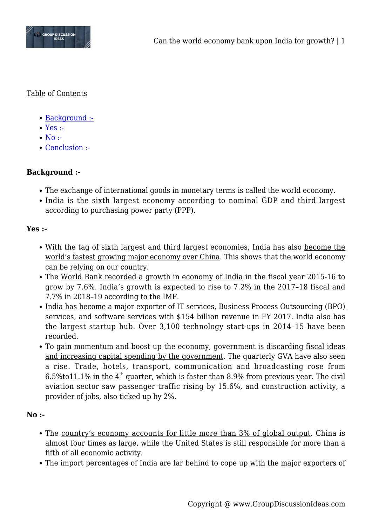

Table of Contents

- [Background :-](#page--1-0)
- [Yes :-](#page--1-0)
- $\bullet$  [No :-](#page--1-0)
- [Conclusion :-](#page--1-0)

## **Background :-**

- The exchange of international goods in monetary terms is called the world economy.
- India is the sixth largest economy according to nominal GDP and third largest according to purchasing power party (PPP).

## **Yes :-**

- With the tag of sixth largest and third largest economies, India has also become the world's fastest growing major economy over China. This shows that the world economy can be relying on our country.
- The World Bank recorded a growth in economy of India in the fiscal year 2015-16 to grow by 7.6%. India's growth is expected to rise to 7.2% in the 2017–18 fiscal and 7.7% in 2018–19 according to the IMF.
- India has become a major exporter of IT services, Business Process Outsourcing (BPO) services, and software services with \$154 billion revenue in FY 2017. India also has the largest startup hub. Over 3,100 technology start-ups in 2014–15 have been recorded.
- To gain momentum and boost up the economy, government is discarding fiscal ideas and increasing capital spending by the government. The quarterly GVA have also seen a rise. Trade, hotels, transport, communication and broadcasting rose from 6.5%to11.1% in the  $4<sup>th</sup>$  quarter, which is faster than 8.9% from previous year. The civil aviation sector saw passenger traffic rising by 15.6%, and construction activity, a provider of jobs, also ticked up by 2%.

## **No :-**

- The country's economy accounts for little more than 3% of global output. China is almost four times as large, while the United States is still responsible for more than a fifth of all economic activity.
- The import percentages of India are far behind to cope up with the major exporters of